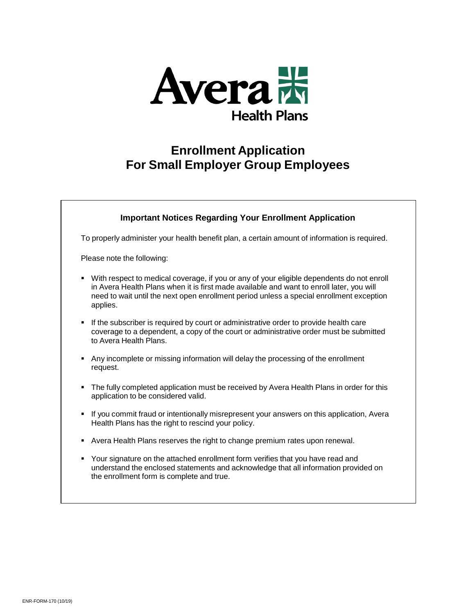

# **Enrollment Application For Small Employer Group Employees**

# **Important Notices Regarding Your Enrollment Application** To properly administer your health benefit plan, a certain amount of information is required. Please note the following:

- With respect to medical coverage, if you or any of your eligible dependents do not enroll in Avera Health Plans when it is first made available and want to enroll later, you will need to wait until the next open enrollment period unless a special enrollment exception applies.
- If the subscriber is required by court or administrative order to provide health care coverage to a dependent, a copy of the court or administrative order must be submitted to Avera Health Plans.
- Any incomplete or missing information will delay the processing of the enrollment request.
- The fully completed application must be received by Avera Health Plans in order for this application to be considered valid.
- If you commit fraud or intentionally misrepresent your answers on this application, Avera Health Plans has the right to rescind your policy.
- Avera Health Plans reserves the right to change premium rates upon renewal.
- Your signature on the attached enrollment form verifies that you have read and understand the enclosed statements and acknowledge that all information provided on the enrollment form is complete and true.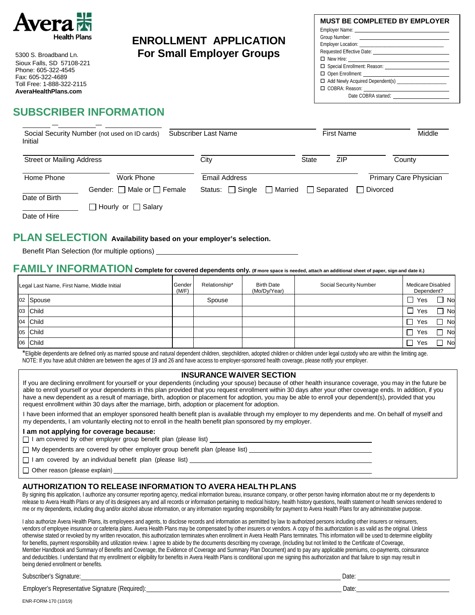

Sioux Falls, SD 57108-221 Phone: 605-322-4545 Fax: 605-322-4689 Toll Free: 1-888-322-2115 **[AveraHealthPlans.com](http://www.averahealthplans.com/)**

# **ENROLLMENT APPLICATION** 5300 S. Broadband Ln. **For Small Employer Groups**

| <b>MUST BE COMPLETED BY EMPLOYER</b>                  |
|-------------------------------------------------------|
|                                                       |
|                                                       |
|                                                       |
|                                                       |
|                                                       |
|                                                       |
|                                                       |
| □ Add Newly Acquired Dependent(s) ___________________ |
|                                                       |
|                                                       |
|                                                       |

# **SUBSCRIBER INFORMATION**

| Initial                          | Social Security Number (not used on ID cards) | Subscriber Last Name                              |              | <b>First Name</b> | Middle                               |
|----------------------------------|-----------------------------------------------|---------------------------------------------------|--------------|-------------------|--------------------------------------|
| <b>Street or Mailing Address</b> |                                               | City                                              | <b>State</b> | <b>ZIP</b>        | County                               |
| Home Phone                       | Work Phone<br>Gender: □ Male or □ Female      | Email Address<br>$\Box$ Married<br>Status: Single |              | Separated         | Primary Care Physician<br>□ Divorced |
| Date of Birth<br>Date of Hire    | □ Hourly or □ Salary                          |                                                   |              |                   |                                      |

### **PLAN SELECTION Availability based on your employer's selection.**

Benefit Plan Selection (for multiple options)

### FAMILY INFORMATION Complete for covered dependents only. (If more space is needed, attach an additional sheet of paper, sign and date it.)

| Legal Last Name, First Name, Middle Initial | Gender<br>(M/F) | Relationship* | <b>Birth Date</b><br>(Mo/Dy/Year) | Social Security Number | Medicare Disabled<br>Dependent? |    |
|---------------------------------------------|-----------------|---------------|-----------------------------------|------------------------|---------------------------------|----|
| 02 Spouse                                   |                 | Spouse        |                                   |                        | Yes                             | No |
| 03 Child                                    |                 |               |                                   |                        | Yes                             | No |
| 04 Child                                    |                 |               |                                   |                        | Yes                             | No |
| 05 Child                                    |                 |               |                                   |                        | Yes                             | No |
| 06 Child                                    |                 |               |                                   |                        | Yes                             | No |

\*Eligible dependents are defined only as married spouse and natural dependent children, stepchildren, adopted children or children under legal custody who are within the limiting age. NOTE: If you have adult children are between the ages of 19 and 26 and have access to employer-sponsored health coverage, please notify your employer.

#### **INSURANCE WAIVER SECTION**

If you are declining enrollment for yourself or your dependents (including your spouse) because of other health insurance coverage, you may in the future be able to enroll yourself or your dependents in this plan provided that you request enrollment within 30 days after your other coverage ends. In addition, if you have a new dependent as a result of marriage, birth, adoption or placement for adoption, you may be able to enroll your dependent(s), provided that you request enrollment within 30 days after the marriage, birth, adoption or placement for adoption.

I have been informed that an employer sponsored health benefit plan is available through my employer to my dependents and me. On behalf of myself and my dependents, I am voluntarily electing not to enroll in the health benefit plan sponsored by my employer.

#### **I am not applying for coverage because:**

□ I am covered by other employer group benefit plan (please list)

My dependents are covered by other employer group benefit plan (please list)

I am covered by an individual benefit plan (please list)

Other reason (please explain)

#### **AUTHORIZATION TO RELEASE INFORMATION TO AVERA HEALTH PLANS**

By signing this application, I authorize any consumer reporting agency, medical information bureau, insurance company, or other person having information about me or my dependents to release to Avera Health Plans or any of its designees any and all records or information pertaining to medical history, health history questions, health statement or health services rendered to me or my dependents, including drug and/or alcohol abuse information, or any information regarding responsibility for payment to Avera Health Plans for any administrative purpose.

I also authorize Avera Health Plans, its employees and agents, to disclose records and information as permitted by law to authorized persons including other insurers or reinsurers, vendors of employee insurance or cafeteria plans. Avera Health Plans may be compensated by other insurers or vendors. A copy of this authorization is as valid as the original. Unless otherwise stated or revoked by my written revocation, this authorization terminates when enrollment in Avera Health Plans terminates. This information will be used to determine eligibility for benefits, payment responsibility and utilization review. I agree to abide by the documents describing my coverage, (including but not limited to the Certificate of Coverage, Member Handbook and Summary of Benefits and Coverage, the Evidence of Coverage and Summary Plan Document) and to pay any applicable premiums, co-payments, coinsurance and deductibles. I understand that my enrollment or eligibility for benefits in Avera Health Plans is conditional upon me signing this authorization and that failure to sign may result in being denied enrollment or benefits.

| Subscriber's<br>$\sim$<br>Signature:                                                      | Date: |
|-------------------------------------------------------------------------------------------|-------|
| $\sim$ $\sim$<br>$\sim$<br>. Representative<br>Signature (Required).<br>Employer's<br>. . | Date: |

ENR-FORM-170 (10/19)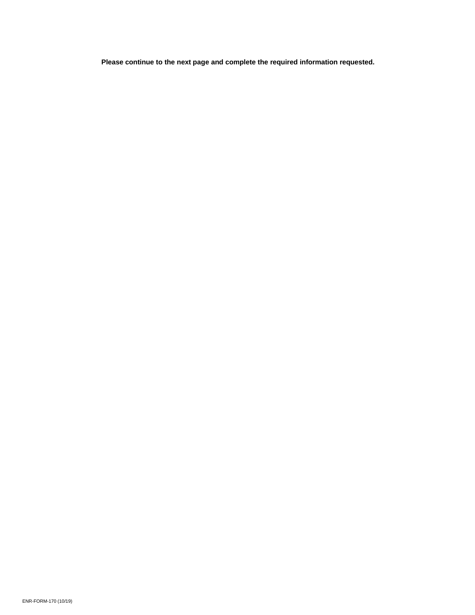**Please continue to the next page and complete the required information requested.**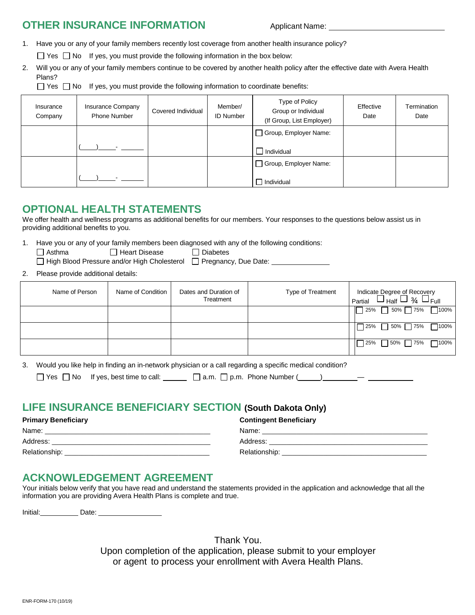### **OTHER INSURANCE INFORMATION** Applicant Name:

- 1. Have you or any of your family members recently lost coverage from another health insurance policy?
	- $\Box$  Yes  $\Box$  No If yes, you must provide the following information in the box below:
- 2. Will you or any of your family members continue to be covered by another health policy after the effective date with Avera Health Plans?

 $\Box$  Yes  $\Box$  No If yes, you must provide the following information to coordinate benefits:

| Insurance<br>Company | Insurance Company<br><b>Phone Number</b> | Covered Individual | Member/<br><b>ID Number</b> | Type of Policy<br>Group or Individual<br>(If Group, List Employer) | Effective<br>Date | Termination<br>Date |
|----------------------|------------------------------------------|--------------------|-----------------------------|--------------------------------------------------------------------|-------------------|---------------------|
|                      |                                          |                    |                             | □ Group, Employer Name:                                            |                   |                     |
|                      |                                          |                    |                             | Individual                                                         |                   |                     |
|                      |                                          |                    |                             | Group, Employer Name:                                              |                   |                     |
|                      |                                          |                    |                             | П<br>Individual                                                    |                   |                     |

## **OPTIONAL HEALTH STATEMENTS**

We offer health and wellness programs as additional benefits for our members. Your responses to the questions below assist us in providing additional benefits to you.

1. Have you or any of your family members been diagnosed with any of the following conditions:

Asthma Heart Disease Diabetes

High Blood Pressure and/or High Cholesterol  $\Box$  Pregnancy, Due Date:

2. Please provide additional details:

| Name of Person | Name of Condition | Dates and Duration of<br>Treatment | Type of Treatment | Indicate Degree of Recovery<br>$\frac{3}{4} \Box_{Full}$<br>$^+$ Half $\overline{\phantom{0}}$<br>Partial<br>┕ |
|----------------|-------------------|------------------------------------|-------------------|----------------------------------------------------------------------------------------------------------------|
|                |                   |                                    |                   | $\Box$ 100%<br>50% 75%<br>25%<br>- 1                                                                           |
|                |                   |                                    |                   | 50% 75%<br>7100%<br>7 25%                                                                                      |
|                |                   |                                    |                   | $\overline{ }$ 75%<br>$-100%$<br>7 50%<br>l 25%                                                                |

3. Would you like help in finding an in-network physician or a call regarding a specific medical condition?

| Yes $\Box$ No If yes, best time to call: | $\Box$ a.m. $\Box$ p.m. Phone Number ( |  |
|------------------------------------------|----------------------------------------|--|
|------------------------------------------|----------------------------------------|--|

# **LIFE INSURANCE BENEFICIARY SECTION (South Dakota Only)**

### **Primary Beneficiary Contingent Beneficiary**

| Name:         | Name:         |
|---------------|---------------|
| Address:      | Address:      |
| Relationship: | Relationship: |

### **ACKNOWLEDGEMENT AGREEMENT**

Your initials below verify that you have read and understand the statements provided in the application and acknowledge that all the information you are providing Avera Health Plans is complete and true.

Initial: Date:

Thank You. Upon completion of the application, please submit to your employer or agent to process your enrollment with Avera Health Plans.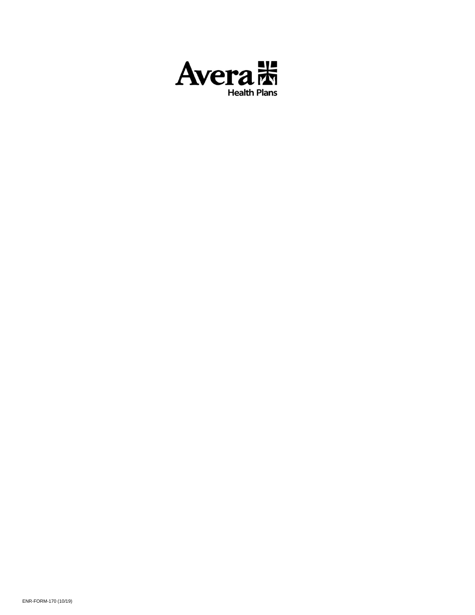